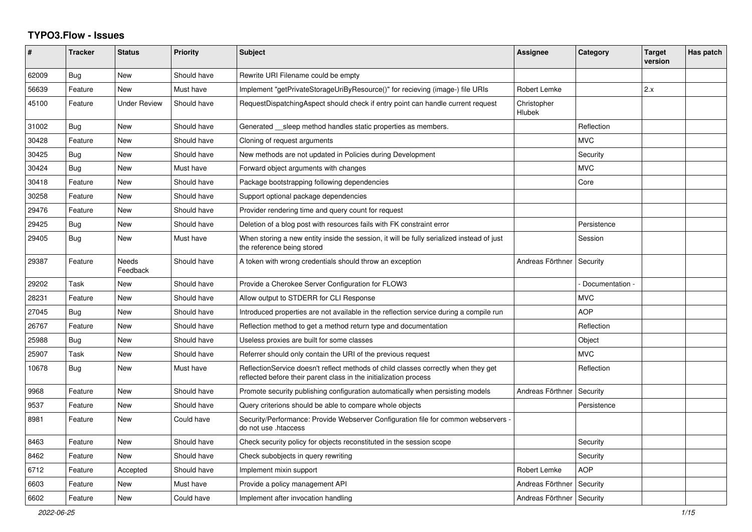## **TYPO3.Flow - Issues**

| #     | <b>Tracker</b> | <b>Status</b>            | <b>Priority</b> | <b>Subject</b>                                                                                                                                          | <b>Assignee</b>       | Category        | <b>Target</b><br>version | Has patch |
|-------|----------------|--------------------------|-----------------|---------------------------------------------------------------------------------------------------------------------------------------------------------|-----------------------|-----------------|--------------------------|-----------|
| 62009 | <b>Bug</b>     | <b>New</b>               | Should have     | Rewrite URI Filename could be empty                                                                                                                     |                       |                 |                          |           |
| 56639 | Feature        | <b>New</b>               | Must have       | Implement "getPrivateStorageUriByResource()" for recieving (image-) file URIs                                                                           | Robert Lemke          |                 | 2.x                      |           |
| 45100 | Feature        | <b>Under Review</b>      | Should have     | RequestDispatchingAspect should check if entry point can handle current request                                                                         | Christopher<br>Hlubek |                 |                          |           |
| 31002 | Bug            | New                      | Should have     | Generated sleep method handles static properties as members.                                                                                            |                       | Reflection      |                          |           |
| 30428 | Feature        | <b>New</b>               | Should have     | Cloning of request arguments                                                                                                                            |                       | <b>MVC</b>      |                          |           |
| 30425 | Bug            | <b>New</b>               | Should have     | New methods are not updated in Policies during Development                                                                                              |                       | Security        |                          |           |
| 30424 | <b>Bug</b>     | <b>New</b>               | Must have       | Forward object arguments with changes                                                                                                                   |                       | <b>MVC</b>      |                          |           |
| 30418 | Feature        | New                      | Should have     | Package bootstrapping following dependencies                                                                                                            |                       | Core            |                          |           |
| 30258 | Feature        | <b>New</b>               | Should have     | Support optional package dependencies                                                                                                                   |                       |                 |                          |           |
| 29476 | Feature        | New                      | Should have     | Provider rendering time and query count for request                                                                                                     |                       |                 |                          |           |
| 29425 | <b>Bug</b>     | <b>New</b>               | Should have     | Deletion of a blog post with resources fails with FK constraint error                                                                                   |                       | Persistence     |                          |           |
| 29405 | Bug            | New                      | Must have       | When storing a new entity inside the session, it will be fully serialized instead of just<br>the reference being stored                                 |                       | Session         |                          |           |
| 29387 | Feature        | <b>Needs</b><br>Feedback | Should have     | A token with wrong credentials should throw an exception                                                                                                | Andreas Förthner      | Security        |                          |           |
| 29202 | Task           | <b>New</b>               | Should have     | Provide a Cherokee Server Configuration for FLOW3                                                                                                       |                       | Documentation - |                          |           |
| 28231 | Feature        | <b>New</b>               | Should have     | Allow output to STDERR for CLI Response                                                                                                                 |                       | <b>MVC</b>      |                          |           |
| 27045 | Bug            | New                      | Should have     | Introduced properties are not available in the reflection service during a compile run                                                                  |                       | <b>AOP</b>      |                          |           |
| 26767 | Feature        | New                      | Should have     | Reflection method to get a method return type and documentation                                                                                         |                       | Reflection      |                          |           |
| 25988 | Bug            | New                      | Should have     | Useless proxies are built for some classes                                                                                                              |                       | Object          |                          |           |
| 25907 | Task           | New                      | Should have     | Referrer should only contain the URI of the previous request                                                                                            |                       | <b>MVC</b>      |                          |           |
| 10678 | Bug            | <b>New</b>               | Must have       | ReflectionService doesn't reflect methods of child classes correctly when they get<br>reflected before their parent class in the initialization process |                       | Reflection      |                          |           |
| 9968  | Feature        | New                      | Should have     | Promote security publishing configuration automatically when persisting models                                                                          | Andreas Förthner      | Security        |                          |           |
| 9537  | Feature        | New                      | Should have     | Query criterions should be able to compare whole objects                                                                                                |                       | Persistence     |                          |           |
| 8981  | Feature        | <b>New</b>               | Could have      | Security/Performance: Provide Webserver Configuration file for common webservers<br>do not use .htaccess                                                |                       |                 |                          |           |
| 8463  | Feature        | <b>New</b>               | Should have     | Check security policy for objects reconstituted in the session scope                                                                                    |                       | Security        |                          |           |
| 8462  | Feature        | New                      | Should have     | Check subobjects in query rewriting                                                                                                                     |                       | Security        |                          |           |
| 6712  | Feature        | Accepted                 | Should have     | Implement mixin support                                                                                                                                 | Robert Lemke          | <b>AOP</b>      |                          |           |
| 6603  | Feature        | New                      | Must have       | Provide a policy management API                                                                                                                         | Andreas Förthner      | Security        |                          |           |
| 6602  | Feature        | <b>New</b>               | Could have      | Implement after invocation handling                                                                                                                     | Andreas Förthner      | Security        |                          |           |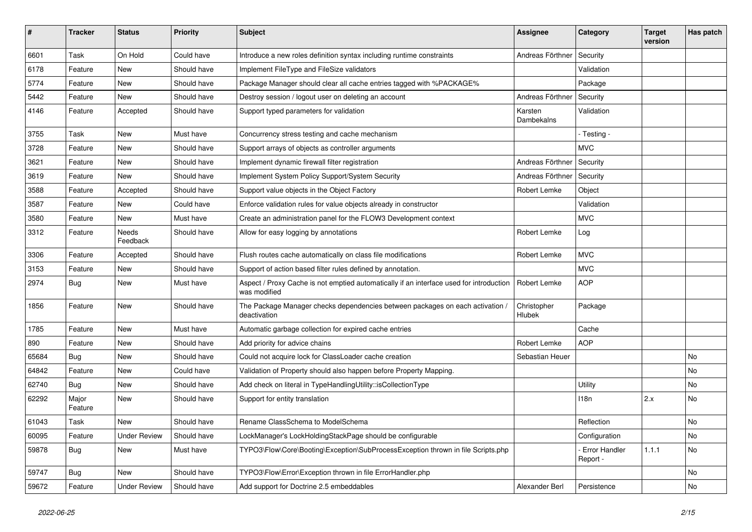| $\vert$ # | <b>Tracker</b>   | <b>Status</b>            | <b>Priority</b> | <b>Subject</b>                                                                                          | Assignee                     | Category                  | <b>Target</b><br>version | Has patch |
|-----------|------------------|--------------------------|-----------------|---------------------------------------------------------------------------------------------------------|------------------------------|---------------------------|--------------------------|-----------|
| 6601      | Task             | On Hold                  | Could have      | Introduce a new roles definition syntax including runtime constraints                                   | Andreas Förthner             | Security                  |                          |           |
| 6178      | Feature          | New                      | Should have     | Implement FileType and FileSize validators                                                              |                              | Validation                |                          |           |
| 5774      | Feature          | New                      | Should have     | Package Manager should clear all cache entries tagged with %PACKAGE%                                    |                              | Package                   |                          |           |
| 5442      | Feature          | New                      | Should have     | Destroy session / logout user on deleting an account                                                    | Andreas Förthner             | Security                  |                          |           |
| 4146      | Feature          | Accepted                 | Should have     | Support typed parameters for validation                                                                 | Karsten<br>Dambekalns        | Validation                |                          |           |
| 3755      | Task             | New                      | Must have       | Concurrency stress testing and cache mechanism                                                          |                              | - Testing -               |                          |           |
| 3728      | Feature          | <b>New</b>               | Should have     | Support arrays of objects as controller arguments                                                       |                              | <b>MVC</b>                |                          |           |
| 3621      | Feature          | <b>New</b>               | Should have     | Implement dynamic firewall filter registration                                                          | Andreas Förthner             | Security                  |                          |           |
| 3619      | Feature          | New                      | Should have     | Implement System Policy Support/System Security                                                         | Andreas Förthner             | Security                  |                          |           |
| 3588      | Feature          | Accepted                 | Should have     | Support value objects in the Object Factory                                                             | Robert Lemke                 | Object                    |                          |           |
| 3587      | Feature          | <b>New</b>               | Could have      | Enforce validation rules for value objects already in constructor                                       |                              | Validation                |                          |           |
| 3580      | Feature          | New                      | Must have       | Create an administration panel for the FLOW3 Development context                                        |                              | <b>MVC</b>                |                          |           |
| 3312      | Feature          | <b>Needs</b><br>Feedback | Should have     | Allow for easy logging by annotations                                                                   | Robert Lemke                 | Log                       |                          |           |
| 3306      | Feature          | Accepted                 | Should have     | Flush routes cache automatically on class file modifications                                            | Robert Lemke                 | <b>MVC</b>                |                          |           |
| 3153      | Feature          | <b>New</b>               | Should have     | Support of action based filter rules defined by annotation.                                             |                              | <b>MVC</b>                |                          |           |
| 2974      | <b>Bug</b>       | New                      | Must have       | Aspect / Proxy Cache is not emptied automatically if an interface used for introduction<br>was modified | Robert Lemke                 | <b>AOP</b>                |                          |           |
| 1856      | Feature          | <b>New</b>               | Should have     | The Package Manager checks dependencies between packages on each activation /<br>deactivation           | Christopher<br><b>Hlubek</b> | Package                   |                          |           |
| 1785      | Feature          | <b>New</b>               | Must have       | Automatic garbage collection for expired cache entries                                                  |                              | Cache                     |                          |           |
| 890       | Feature          | New                      | Should have     | Add priority for advice chains                                                                          | Robert Lemke                 | <b>AOP</b>                |                          |           |
| 65684     | <b>Bug</b>       | <b>New</b>               | Should have     | Could not acquire lock for ClassLoader cache creation                                                   | Sebastian Heuer              |                           |                          | No        |
| 64842     | Feature          | <b>New</b>               | Could have      | Validation of Property should also happen before Property Mapping.                                      |                              |                           |                          | No        |
| 62740     | Bug              | New                      | Should have     | Add check on literal in TypeHandlingUtility::isCollectionType                                           |                              | Utility                   |                          | No        |
| 62292     | Major<br>Feature | New                      | Should have     | Support for entity translation                                                                          |                              | 118n                      | 2.x                      | No        |
| 61043     | Task             | New                      | Should have     | Rename ClassSchema to ModelSchema                                                                       |                              | Reflection                |                          | No        |
| 60095     | Feature          | <b>Under Review</b>      | Should have     | LockManager's LockHoldingStackPage should be configurable                                               |                              | Configuration             |                          | No        |
| 59878     | <b>Bug</b>       | New                      | Must have       | TYPO3\Flow\Core\Booting\Exception\SubProcessException thrown in file Scripts.php                        |                              | Error Handler<br>Report - | 1.1.1                    | No        |
| 59747     | Bug              | New                      | Should have     | TYPO3\Flow\Error\Exception thrown in file ErrorHandler.php                                              |                              |                           |                          | No        |
| 59672     | Feature          | <b>Under Review</b>      | Should have     | Add support for Doctrine 2.5 embeddables                                                                | Alexander Berl               | Persistence               |                          | No        |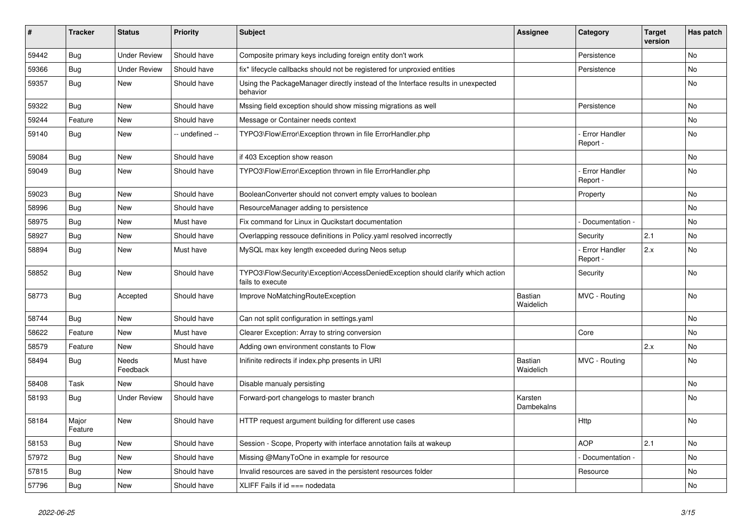| ∦     | <b>Tracker</b>   | <b>Status</b>            | <b>Priority</b> | <b>Subject</b>                                                                                      | <b>Assignee</b>             | Category                         | <b>Target</b><br>version | Has patch |
|-------|------------------|--------------------------|-----------------|-----------------------------------------------------------------------------------------------------|-----------------------------|----------------------------------|--------------------------|-----------|
| 59442 | Bug              | <b>Under Review</b>      | Should have     | Composite primary keys including foreign entity don't work                                          |                             | Persistence                      |                          | No        |
| 59366 | <b>Bug</b>       | <b>Under Review</b>      | Should have     | fix* lifecycle callbacks should not be registered for unproxied entities                            |                             | Persistence                      |                          | <b>No</b> |
| 59357 | Bug              | New                      | Should have     | Using the PackageManager directly instead of the Interface results in unexpected<br>behavior        |                             |                                  |                          | No        |
| 59322 | Bug              | <b>New</b>               | Should have     | Mssing field exception should show missing migrations as well                                       |                             | Persistence                      |                          | <b>No</b> |
| 59244 | Feature          | New                      | Should have     | Message or Container needs context                                                                  |                             |                                  |                          | No        |
| 59140 | Bug              | New                      | -- undefined -- | TYPO3\Flow\Error\Exception thrown in file ErrorHandler.php                                          |                             | <b>Error Handler</b><br>Report - |                          | No        |
| 59084 | Bug              | <b>New</b>               | Should have     | if 403 Exception show reason                                                                        |                             |                                  |                          | <b>No</b> |
| 59049 | Bug              | New                      | Should have     | TYPO3\Flow\Error\Exception thrown in file ErrorHandler.php                                          |                             | Error Handler<br>Report -        |                          | No        |
| 59023 | Bug              | New                      | Should have     | BooleanConverter should not convert empty values to boolean                                         |                             | Property                         |                          | No        |
| 58996 | Bug              | New                      | Should have     | ResourceManager adding to persistence                                                               |                             |                                  |                          | <b>No</b> |
| 58975 | Bug              | New                      | Must have       | Fix command for Linux in Qucikstart documentation                                                   |                             | Documentation -                  |                          | No        |
| 58927 | Bug              | New                      | Should have     | Overlapping ressouce definitions in Policy yaml resolved incorrectly                                |                             | Security                         | 2.1                      | No        |
| 58894 | <b>Bug</b>       | New                      | Must have       | MySQL max key length exceeded during Neos setup                                                     |                             | Error Handler<br>Report -        | 2.x                      | No        |
| 58852 | Bug              | New                      | Should have     | TYPO3\Flow\Security\Exception\AccessDeniedException should clarify which action<br>fails to execute |                             | Security                         |                          | No        |
| 58773 | Bug              | Accepted                 | Should have     | Improve NoMatchingRouteException                                                                    | Bastian<br>Waidelich        | MVC - Routing                    |                          | No        |
| 58744 | Bug              | New                      | Should have     | Can not split configuration in settings.yaml                                                        |                             |                                  |                          | No        |
| 58622 | Feature          | <b>New</b>               | Must have       | Clearer Exception: Array to string conversion                                                       |                             | Core                             |                          | No        |
| 58579 | Feature          | New                      | Should have     | Adding own environment constants to Flow                                                            |                             |                                  | 2.x                      | No        |
| 58494 | Bug              | <b>Needs</b><br>Feedback | Must have       | Inifinite redirects if index.php presents in URI                                                    | <b>Bastian</b><br>Waidelich | MVC - Routing                    |                          | No        |
| 58408 | Task             | <b>New</b>               | Should have     | Disable manualy persisting                                                                          |                             |                                  |                          | No        |
| 58193 | Bug              | <b>Under Review</b>      | Should have     | Forward-port changelogs to master branch                                                            | Karsten<br>Dambekalns       |                                  |                          | No        |
| 58184 | Major<br>Feature | New                      | Should have     | HTTP request argument building for different use cases                                              |                             | Http                             |                          | No        |
| 58153 | <b>Bug</b>       | New                      | Should have     | Session - Scope, Property with interface annotation fails at wakeup                                 |                             | <b>AOP</b>                       | 2.1                      | No        |
| 57972 | Bug              | New                      | Should have     | Missing @ManyToOne in example for resource                                                          |                             | Documentation -                  |                          | No        |
| 57815 | <b>Bug</b>       | New                      | Should have     | Invalid resources are saved in the persistent resources folder                                      |                             | Resource                         |                          | No        |
| 57796 | <b>Bug</b>       | New                      | Should have     | XLIFF Fails if id === nodedata                                                                      |                             |                                  |                          | No        |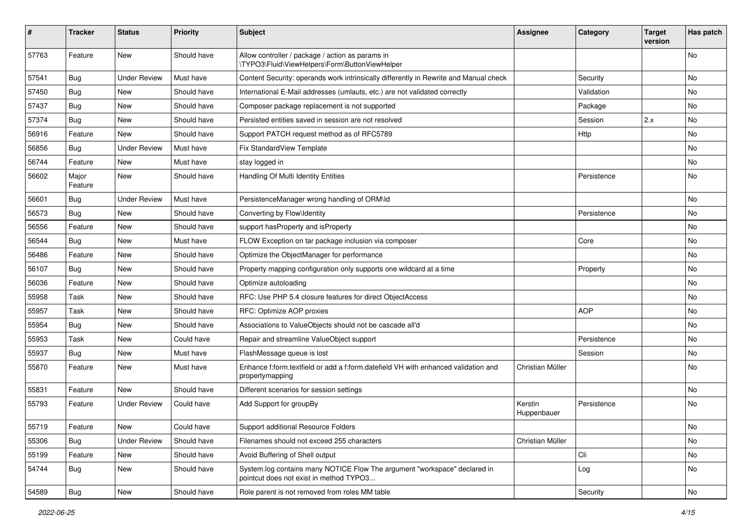| ∦     | <b>Tracker</b>   | <b>Status</b>       | <b>Priority</b> | <b>Subject</b>                                                                                                       | <b>Assignee</b>        | Category    | <b>Target</b><br>version | Has patch |
|-------|------------------|---------------------|-----------------|----------------------------------------------------------------------------------------------------------------------|------------------------|-------------|--------------------------|-----------|
| 57763 | Feature          | New                 | Should have     | Allow controller / package / action as params in<br>\TYPO3\Fluid\ViewHelpers\Form\ButtonViewHelper                   |                        |             |                          | <b>No</b> |
| 57541 | <b>Bug</b>       | <b>Under Review</b> | Must have       | Content Security: operands work intrinsically differently in Rewrite and Manual check                                |                        | Security    |                          | No        |
| 57450 | Bug              | <b>New</b>          | Should have     | International E-Mail addresses (umlauts, etc.) are not validated correctly                                           |                        | Validation  |                          | No        |
| 57437 | <b>Bug</b>       | New                 | Should have     | Composer package replacement is not supported                                                                        |                        | Package     |                          | No        |
| 57374 | Bug              | <b>New</b>          | Should have     | Persisted entities saved in session are not resolved                                                                 |                        | Session     | 2.x                      | <b>No</b> |
| 56916 | Feature          | New                 | Should have     | Support PATCH request method as of RFC5789                                                                           |                        | <b>Http</b> |                          | No        |
| 56856 | <b>Bug</b>       | <b>Under Review</b> | Must have       | Fix StandardView Template                                                                                            |                        |             |                          | No        |
| 56744 | Feature          | New                 | Must have       | stay logged in                                                                                                       |                        |             |                          | No        |
| 56602 | Major<br>Feature | New                 | Should have     | Handling Of Multi Identity Entities                                                                                  |                        | Persistence |                          | No        |
| 56601 | Bug              | <b>Under Review</b> | Must have       | PersistenceManager wrong handling of ORM\ld                                                                          |                        |             |                          | No        |
| 56573 | Bug              | New                 | Should have     | Converting by Flow\Identity                                                                                          |                        | Persistence |                          | No        |
| 56556 | Feature          | <b>New</b>          | Should have     | support hasProperty and isProperty                                                                                   |                        |             |                          | <b>No</b> |
| 56544 | <b>Bug</b>       | New                 | Must have       | FLOW Exception on tar package inclusion via composer                                                                 |                        | Core        |                          | No        |
| 56486 | Feature          | New                 | Should have     | Optimize the ObjectManager for performance                                                                           |                        |             |                          | No        |
| 56107 | Bug              | <b>New</b>          | Should have     | Property mapping configuration only supports one wildcard at a time                                                  |                        | Property    |                          | No        |
| 56036 | Feature          | New                 | Should have     | Optimize autoloading                                                                                                 |                        |             |                          | No        |
| 55958 | Task             | <b>New</b>          | Should have     | RFC: Use PHP 5.4 closure features for direct ObjectAccess                                                            |                        |             |                          | <b>No</b> |
| 55957 | Task             | New                 | Should have     | RFC: Optimize AOP proxies                                                                                            |                        | <b>AOP</b>  |                          | No        |
| 55954 | <b>Bug</b>       | New                 | Should have     | Associations to ValueObjects should not be cascade all'd                                                             |                        |             |                          | No        |
| 55953 | Task             | New                 | Could have      | Repair and streamline ValueObject support                                                                            |                        | Persistence |                          | No        |
| 55937 | <b>Bug</b>       | New                 | Must have       | FlashMessage queue is lost                                                                                           |                        | Session     |                          | No        |
| 55870 | Feature          | New                 | Must have       | Enhance f:form.textfield or add a f:form.datefield VH with enhanced validation and<br>propertymapping                | Christian Müller       |             |                          | No        |
| 55831 | Feature          | New                 | Should have     | Different scenarios for session settings                                                                             |                        |             |                          | <b>No</b> |
| 55793 | Feature          | <b>Under Review</b> | Could have      | Add Support for groupBy                                                                                              | Kerstin<br>Huppenbauer | Persistence |                          | No        |
| 55719 | Feature          | New                 | Could have      | Support additional Resource Folders                                                                                  |                        |             |                          | N0        |
| 55306 | Bug              | <b>Under Review</b> | Should have     | Filenames should not exceed 255 characters                                                                           | Christian Müller       |             |                          | No        |
| 55199 | Feature          | New                 | Should have     | Avoid Buffering of Shell output                                                                                      |                        | Cli         |                          | No        |
| 54744 | Bug              | New                 | Should have     | System.log contains many NOTICE Flow The argument "workspace" declared in<br>pointcut does not exist in method TYPO3 |                        | Log         |                          | No        |
| 54589 | Bug              | New                 | Should have     | Role parent is not removed from roles MM table                                                                       |                        | Security    |                          | No        |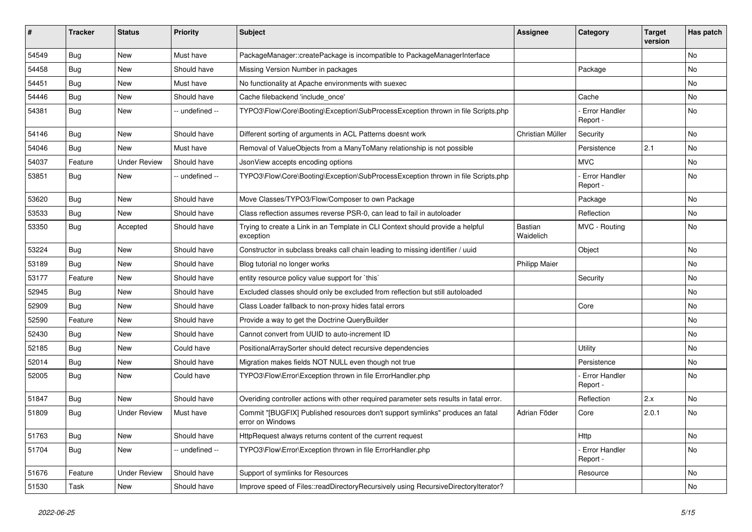| #     | <b>Tracker</b> | <b>Status</b>       | <b>Priority</b> | Subject                                                                                            | <b>Assignee</b>      | Category                    | <b>Target</b><br>version | Has patch |
|-------|----------------|---------------------|-----------------|----------------------------------------------------------------------------------------------------|----------------------|-----------------------------|--------------------------|-----------|
| 54549 | Bug            | <b>New</b>          | Must have       | PackageManager::createPackage is incompatible to PackageManagerInterface                           |                      |                             |                          | No        |
| 54458 | <b>Bug</b>     | New                 | Should have     | Missing Version Number in packages                                                                 |                      | Package                     |                          | No        |
| 54451 | <b>Bug</b>     | New                 | Must have       | No functionality at Apache environments with suexec                                                |                      |                             |                          | No        |
| 54446 | <b>Bug</b>     | New                 | Should have     | Cache filebackend 'include_once'                                                                   |                      | Cache                       |                          | No        |
| 54381 | <b>Bug</b>     | New                 | -- undefined -- | TYPO3\Flow\Core\Booting\Exception\SubProcessException thrown in file Scripts.php                   |                      | - Error Handler<br>Report - |                          | No        |
| 54146 | <b>Bug</b>     | New                 | Should have     | Different sorting of arguments in ACL Patterns doesnt work                                         | Christian Müller     | Security                    |                          | No        |
| 54046 | <b>Bug</b>     | <b>New</b>          | Must have       | Removal of ValueObjects from a ManyToMany relationship is not possible                             |                      | Persistence                 | 2.1                      | <b>No</b> |
| 54037 | Feature        | <b>Under Review</b> | Should have     | JsonView accepts encoding options                                                                  |                      | <b>MVC</b>                  |                          | No        |
| 53851 | <b>Bug</b>     | New                 | -- undefined -- | TYPO3\Flow\Core\Booting\Exception\SubProcessException thrown in file Scripts.php                   |                      | Error Handler<br>Report -   |                          | No        |
| 53620 | <b>Bug</b>     | <b>New</b>          | Should have     | Move Classes/TYPO3/Flow/Composer to own Package                                                    |                      | Package                     |                          | <b>No</b> |
| 53533 | <b>Bug</b>     | New                 | Should have     | Class reflection assumes reverse PSR-0, can lead to fail in autoloader                             |                      | Reflection                  |                          | No        |
| 53350 | <b>Bug</b>     | Accepted            | Should have     | Trying to create a Link in an Template in CLI Context should provide a helpful<br>exception        | Bastian<br>Waidelich | MVC - Routing               |                          | No        |
| 53224 | <b>Bug</b>     | New                 | Should have     | Constructor in subclass breaks call chain leading to missing identifier / uuid                     |                      | Object                      |                          | <b>No</b> |
| 53189 | <b>Bug</b>     | New                 | Should have     | Blog tutorial no longer works                                                                      | <b>Philipp Maier</b> |                             |                          | No        |
| 53177 | Feature        | New                 | Should have     | entity resource policy value support for `this`                                                    |                      | Security                    |                          | No        |
| 52945 | <b>Bug</b>     | New                 | Should have     | Excluded classes should only be excluded from reflection but still autoloaded                      |                      |                             |                          | No        |
| 52909 | <b>Bug</b>     | New                 | Should have     | Class Loader fallback to non-proxy hides fatal errors                                              |                      | Core                        |                          | No        |
| 52590 | Feature        | New                 | Should have     | Provide a way to get the Doctrine QueryBuilder                                                     |                      |                             |                          | No        |
| 52430 | Bug            | New                 | Should have     | Cannot convert from UUID to auto-increment ID                                                      |                      |                             |                          | No        |
| 52185 | <b>Bug</b>     | New                 | Could have      | PositionalArraySorter should detect recursive dependencies                                         |                      | Utility                     |                          | No        |
| 52014 | Bug            | New                 | Should have     | Migration makes fields NOT NULL even though not true                                               |                      | Persistence                 |                          | No        |
| 52005 | <b>Bug</b>     | New                 | Could have      | TYPO3\Flow\Error\Exception thrown in file ErrorHandler.php                                         |                      | Error Handler<br>Report -   |                          | No        |
| 51847 | <b>Bug</b>     | New                 | Should have     | Overiding controller actions with other required parameter sets results in fatal error.            |                      | Reflection                  | 2.x                      | <b>No</b> |
| 51809 | <b>Bug</b>     | Under Review        | Must have       | Commit "[BUGFIX] Published resources don't support symlinks" produces an fatal<br>error on Windows | Adrian Föder         | Core                        | 2.0.1                    | No        |
| 51763 | Bug            | New                 | Should have     | HttpRequest always returns content of the current request                                          |                      | Http                        |                          | No        |
| 51704 | <b>Bug</b>     | New                 | -- undefined -- | TYPO3\Flow\Error\Exception thrown in file ErrorHandler.php                                         |                      | - Error Handler<br>Report - |                          | No        |
| 51676 | Feature        | <b>Under Review</b> | Should have     | Support of symlinks for Resources                                                                  |                      | Resource                    |                          | No        |
| 51530 | Task           | New                 | Should have     | Improve speed of Files::readDirectoryRecursively using RecursiveDirectoryIterator?                 |                      |                             |                          | No        |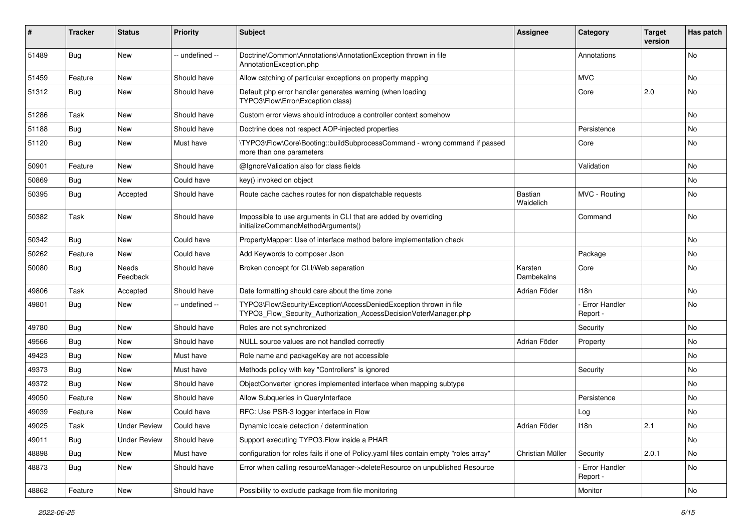| #     | Tracker    | <b>Status</b>       | <b>Priority</b> | <b>Subject</b>                                                                                                                         | <b>Assignee</b>             | Category                         | <b>Target</b><br>version | Has patch |
|-------|------------|---------------------|-----------------|----------------------------------------------------------------------------------------------------------------------------------------|-----------------------------|----------------------------------|--------------------------|-----------|
| 51489 | Bug        | New                 | -- undefined -- | Doctrine\Common\Annotations\AnnotationException thrown in file<br>AnnotationException.php                                              |                             | Annotations                      |                          | No.       |
| 51459 | Feature    | New                 | Should have     | Allow catching of particular exceptions on property mapping                                                                            |                             | <b>MVC</b>                       |                          | No        |
| 51312 | Bug        | <b>New</b>          | Should have     | Default php error handler generates warning (when loading<br>TYPO3\Flow\Error\Exception class)                                         |                             | Core                             | 2.0                      | No        |
| 51286 | Task       | <b>New</b>          | Should have     | Custom error views should introduce a controller context somehow                                                                       |                             |                                  |                          | <b>No</b> |
| 51188 | Bug        | New                 | Should have     | Doctrine does not respect AOP-injected properties                                                                                      |                             | Persistence                      |                          | No        |
| 51120 | Bug        | New                 | Must have       | \TYPO3\Flow\Core\Booting::buildSubprocessCommand - wrong command if passed<br>more than one parameters                                 |                             | Core                             |                          | <b>No</b> |
| 50901 | Feature    | New                 | Should have     | @IgnoreValidation also for class fields                                                                                                |                             | Validation                       |                          | No.       |
| 50869 | Bug        | New                 | Could have      | key() invoked on object                                                                                                                |                             |                                  |                          | No        |
| 50395 | Bug        | Accepted            | Should have     | Route cache caches routes for non dispatchable requests                                                                                | <b>Bastian</b><br>Waidelich | MVC - Routing                    |                          | No        |
| 50382 | Task       | <b>New</b>          | Should have     | Impossible to use arguments in CLI that are added by overriding<br>initializeCommandMethodArguments()                                  |                             | Command                          |                          | No.       |
| 50342 | Bug        | <b>New</b>          | Could have      | PropertyMapper: Use of interface method before implementation check                                                                    |                             |                                  |                          | No        |
| 50262 | Feature    | New                 | Could have      | Add Keywords to composer Json                                                                                                          |                             | Package                          |                          | No        |
| 50080 | Bug        | Needs<br>Feedback   | Should have     | Broken concept for CLI/Web separation                                                                                                  | Karsten<br>Dambekalns       | Core                             |                          | No        |
| 49806 | Task       | Accepted            | Should have     | Date formatting should care about the time zone                                                                                        | Adrian Föder                | 118n                             |                          | No        |
| 49801 | Bug        | New                 | -- undefined -- | TYPO3\Flow\Security\Exception\AccessDeniedException thrown in file<br>TYPO3_Flow_Security_Authorization_AccessDecisionVoterManager.php |                             | <b>Error Handler</b><br>Report - |                          | No        |
| 49780 | <b>Bug</b> | New                 | Should have     | Roles are not synchronized                                                                                                             |                             | Security                         |                          | No        |
| 49566 | Bug        | <b>New</b>          | Should have     | NULL source values are not handled correctly                                                                                           | Adrian Föder                | Property                         |                          | No        |
| 49423 | Bug        | <b>New</b>          | Must have       | Role name and packageKey are not accessible                                                                                            |                             |                                  |                          | No        |
| 49373 | Bug        | New                 | Must have       | Methods policy with key "Controllers" is ignored                                                                                       |                             | Security                         |                          | No        |
| 49372 | Bug        | New                 | Should have     | ObjectConverter ignores implemented interface when mapping subtype                                                                     |                             |                                  |                          | No        |
| 49050 | Feature    | <b>New</b>          | Should have     | Allow Subqueries in QueryInterface                                                                                                     |                             | Persistence                      |                          | No        |
| 49039 | Feature    | New                 | Could have      | RFC: Use PSR-3 logger interface in Flow                                                                                                |                             | Log                              |                          | No        |
| 49025 | Task       | <b>Under Review</b> | Could have      | Dynamic locale detection / determination                                                                                               | Adrian Föder                | 118n                             | 2.1                      | No        |
| 49011 | <b>Bug</b> | <b>Under Review</b> | Should have     | Support executing TYPO3. Flow inside a PHAR                                                                                            |                             |                                  |                          | No        |
| 48898 | Bug        | New                 | Must have       | configuration for roles fails if one of Policy.yaml files contain empty "roles array"                                                  | Christian Müller            | Security                         | 2.0.1                    | No        |
| 48873 | Bug        | New                 | Should have     | Error when calling resourceManager->deleteResource on unpublished Resource                                                             |                             | - Error Handler<br>Report -      |                          | No        |
| 48862 | Feature    | New                 | Should have     | Possibility to exclude package from file monitoring                                                                                    |                             | Monitor                          |                          | No        |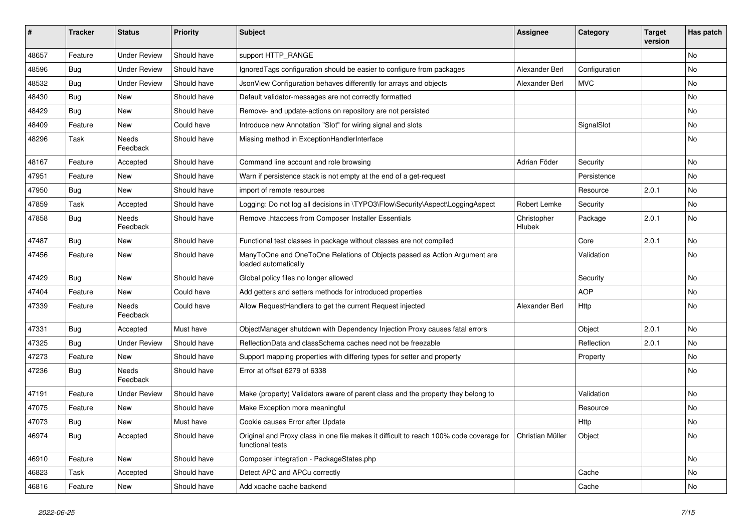| ∦     | <b>Tracker</b> | <b>Status</b>       | <b>Priority</b> | <b>Subject</b>                                                                                              | <b>Assignee</b>       | Category      | <b>Target</b><br>version | Has patch |
|-------|----------------|---------------------|-----------------|-------------------------------------------------------------------------------------------------------------|-----------------------|---------------|--------------------------|-----------|
| 48657 | Feature        | <b>Under Review</b> | Should have     | support HTTP_RANGE                                                                                          |                       |               |                          | No        |
| 48596 | <b>Bug</b>     | <b>Under Review</b> | Should have     | Ignored Tags configuration should be easier to configure from packages                                      | Alexander Berl        | Configuration |                          | No        |
| 48532 | <b>Bug</b>     | <b>Under Review</b> | Should have     | JsonView Configuration behaves differently for arrays and objects                                           | Alexander Berl        | <b>MVC</b>    |                          | No        |
| 48430 | Bug            | <b>New</b>          | Should have     | Default validator-messages are not correctly formatted                                                      |                       |               |                          | No        |
| 48429 | <b>Bug</b>     | New                 | Should have     | Remove- and update-actions on repository are not persisted                                                  |                       |               |                          | No        |
| 48409 | Feature        | New                 | Could have      | Introduce new Annotation "Slot" for wiring signal and slots                                                 |                       | SignalSlot    |                          | No        |
| 48296 | Task           | Needs<br>Feedback   | Should have     | Missing method in ExceptionHandlerInterface                                                                 |                       |               |                          | No        |
| 48167 | Feature        | Accepted            | Should have     | Command line account and role browsing                                                                      | Adrian Föder          | Security      |                          | No        |
| 47951 | Feature        | New                 | Should have     | Warn if persistence stack is not empty at the end of a get-request                                          |                       | Persistence   |                          | No        |
| 47950 | <b>Bug</b>     | New                 | Should have     | import of remote resources                                                                                  |                       | Resource      | 2.0.1                    | No        |
| 47859 | Task           | Accepted            | Should have     | Logging: Do not log all decisions in \TYPO3\Flow\Security\Aspect\LoggingAspect                              | Robert Lemke          | Security      |                          | No        |
| 47858 | <b>Bug</b>     | Needs<br>Feedback   | Should have     | Remove .htaccess from Composer Installer Essentials                                                         | Christopher<br>Hlubek | Package       | 2.0.1                    | No        |
| 47487 | <b>Bug</b>     | New                 | Should have     | Functional test classes in package without classes are not compiled                                         |                       | Core          | 2.0.1                    | No        |
| 47456 | Feature        | New                 | Should have     | ManyToOne and OneToOne Relations of Objects passed as Action Argument are<br>loaded automatically           |                       | Validation    |                          | No        |
| 47429 | Bug            | <b>New</b>          | Should have     | Global policy files no longer allowed                                                                       |                       | Security      |                          | No        |
| 47404 | Feature        | New                 | Could have      | Add getters and setters methods for introduced properties                                                   |                       | <b>AOP</b>    |                          | No        |
| 47339 | Feature        | Needs<br>Feedback   | Could have      | Allow RequestHandlers to get the current Request injected                                                   | Alexander Berl        | Http          |                          | No        |
| 47331 | Bug            | Accepted            | Must have       | ObjectManager shutdown with Dependency Injection Proxy causes fatal errors                                  |                       | Object        | 2.0.1                    | No        |
| 47325 | Bug            | <b>Under Review</b> | Should have     | ReflectionData and classSchema caches need not be freezable                                                 |                       | Reflection    | 2.0.1                    | No        |
| 47273 | Feature        | New                 | Should have     | Support mapping properties with differing types for setter and property                                     |                       | Property      |                          | No        |
| 47236 | Bug            | Needs<br>Feedback   | Should have     | Error at offset 6279 of 6338                                                                                |                       |               |                          | No        |
| 47191 | Feature        | <b>Under Review</b> | Should have     | Make (property) Validators aware of parent class and the property they belong to                            |                       | Validation    |                          | No        |
| 47075 | Feature        | New                 | Should have     | Make Exception more meaningful                                                                              |                       | Resource      |                          | No        |
| 47073 | Bug            | New                 | Must have       | Cookie causes Error after Update                                                                            |                       | Http          |                          | No        |
| 46974 | <b>Bug</b>     | Accepted            | Should have     | Original and Proxy class in one file makes it difficult to reach 100% code coverage for<br>functional tests | Christian Müller      | Object        |                          | No        |
| 46910 | Feature        | New                 | Should have     | Composer integration - PackageStates.php                                                                    |                       |               |                          | No        |
| 46823 | Task           | Accepted            | Should have     | Detect APC and APCu correctly                                                                               |                       | Cache         |                          | No        |
| 46816 | Feature        | New                 | Should have     | Add xcache cache backend                                                                                    |                       | Cache         |                          | No        |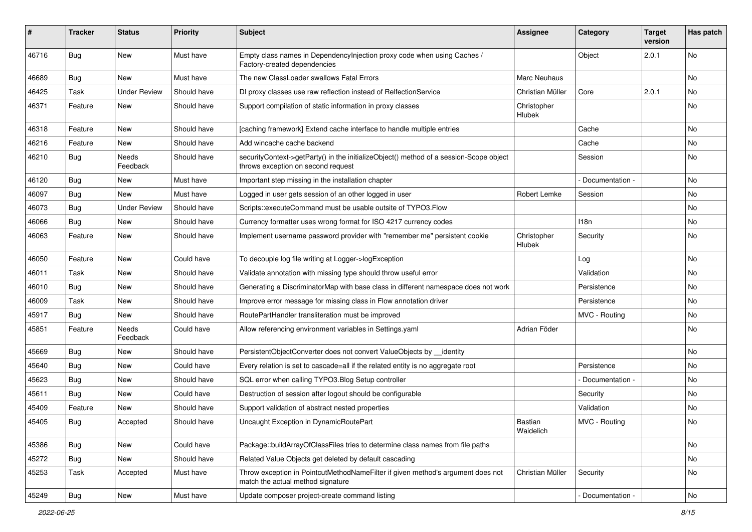| #     | <b>Tracker</b> | <b>Status</b>            | <b>Priority</b> | <b>Subject</b>                                                                                                               | Assignee                     | Category        | <b>Target</b><br>version | Has patch |
|-------|----------------|--------------------------|-----------------|------------------------------------------------------------------------------------------------------------------------------|------------------------------|-----------------|--------------------------|-----------|
| 46716 | <b>Bug</b>     | New                      | Must have       | Empty class names in DependencyInjection proxy code when using Caches /<br>Factory-created dependencies                      |                              | Object          | 2.0.1                    | No        |
| 46689 | <b>Bug</b>     | New                      | Must have       | The new ClassLoader swallows Fatal Errors                                                                                    | Marc Neuhaus                 |                 |                          | <b>No</b> |
| 46425 | Task           | <b>Under Review</b>      | Should have     | DI proxy classes use raw reflection instead of RelfectionService                                                             | Christian Müller             | Core            | 2.0.1                    | No        |
| 46371 | Feature        | New                      | Should have     | Support compilation of static information in proxy classes                                                                   | Christopher<br>Hlubek        |                 |                          | No        |
| 46318 | Feature        | New                      | Should have     | [caching framework] Extend cache interface to handle multiple entries                                                        |                              | Cache           |                          | No        |
| 46216 | Feature        | New                      | Should have     | Add wincache cache backend                                                                                                   |                              | Cache           |                          | No        |
| 46210 | <b>Bug</b>     | Needs<br>Feedback        | Should have     | securityContext->getParty() in the initializeObject() method of a session-Scope object<br>throws exception on second request |                              | Session         |                          | No        |
| 46120 | <b>Bug</b>     | New                      | Must have       | Important step missing in the installation chapter                                                                           |                              | Documentation - |                          | No        |
| 46097 | <b>Bug</b>     | <b>New</b>               | Must have       | Logged in user gets session of an other logged in user                                                                       | Robert Lemke                 | Session         |                          | No        |
| 46073 | <b>Bug</b>     | <b>Under Review</b>      | Should have     | Scripts::executeCommand must be usable outsite of TYPO3.Flow                                                                 |                              |                 |                          | No        |
| 46066 | Bug            | <b>New</b>               | Should have     | Currency formatter uses wrong format for ISO 4217 currency codes                                                             |                              | 118n            |                          | No        |
| 46063 | Feature        | New                      | Should have     | Implement username password provider with "remember me" persistent cookie                                                    | Christopher<br><b>Hlubek</b> | Security        |                          | No        |
| 46050 | Feature        | New                      | Could have      | To decouple log file writing at Logger->logException                                                                         |                              | Log             |                          | No        |
| 46011 | Task           | New                      | Should have     | Validate annotation with missing type should throw useful error                                                              |                              | Validation      |                          | No        |
| 46010 | Bug            | New                      | Should have     | Generating a DiscriminatorMap with base class in different namespace does not work                                           |                              | Persistence     |                          | No        |
| 46009 | Task           | <b>New</b>               | Should have     | Improve error message for missing class in Flow annotation driver                                                            |                              | Persistence     |                          | No        |
| 45917 | Bug            | New                      | Should have     | RoutePartHandler transliteration must be improved                                                                            |                              | MVC - Routing   |                          | No        |
| 45851 | Feature        | <b>Needs</b><br>Feedback | Could have      | Allow referencing environment variables in Settings.yaml                                                                     | Adrian Föder                 |                 |                          | No        |
| 45669 | Bug            | New                      | Should have     | PersistentObjectConverter does not convert ValueObjects by _identity                                                         |                              |                 |                          | <b>No</b> |
| 45640 | Bug            | New                      | Could have      | Every relation is set to cascade=all if the related entity is no aggregate root                                              |                              | Persistence     |                          | No        |
| 45623 | Bug            | New                      | Should have     | SQL error when calling TYPO3.Blog Setup controller                                                                           |                              | Documentation - |                          | No        |
| 45611 | Bug            | New                      | Could have      | Destruction of session after logout should be configurable                                                                   |                              | Security        |                          | No        |
| 45409 | Feature        | <b>New</b>               | Should have     | Support validation of abstract nested properties                                                                             |                              | Validation      |                          | No        |
| 45405 | Bug            | Accepted                 | Should have     | Uncaught Exception in DynamicRoutePart                                                                                       | Bastian<br>Waidelich         | MVC - Routing   |                          | No        |
| 45386 | Bug            | New                      | Could have      | Package::buildArrayOfClassFiles tries to determine class names from file paths                                               |                              |                 |                          | No        |
| 45272 | <b>Bug</b>     | New                      | Should have     | Related Value Objects get deleted by default cascading                                                                       |                              |                 |                          | No        |
| 45253 | Task           | Accepted                 | Must have       | Throw exception in PointcutMethodNameFilter if given method's argument does not<br>match the actual method signature         | Christian Müller             | Security        |                          | No        |
| 45249 | <b>Bug</b>     | New                      | Must have       | Update composer project-create command listing                                                                               |                              | Documentation - |                          | No        |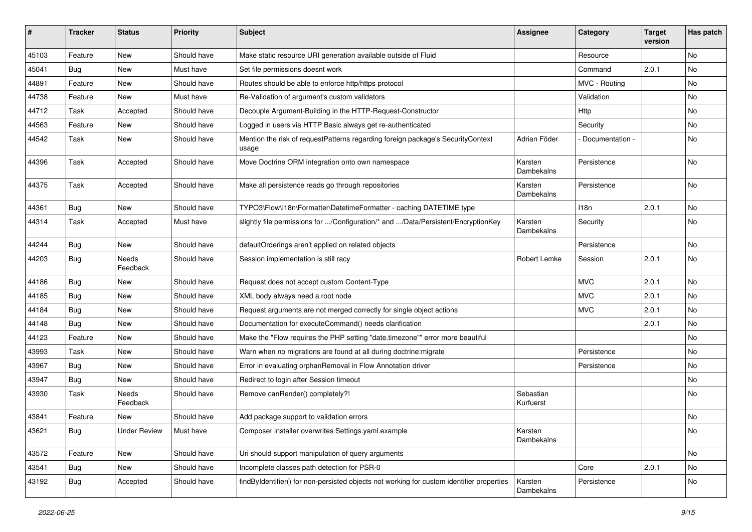| #     | <b>Tracker</b> | <b>Status</b>            | <b>Priority</b> | <b>Subject</b>                                                                            | <b>Assignee</b>        | Category         | <b>Target</b><br>version | Has patch |
|-------|----------------|--------------------------|-----------------|-------------------------------------------------------------------------------------------|------------------------|------------------|--------------------------|-----------|
| 45103 | Feature        | New                      | Should have     | Make static resource URI generation available outside of Fluid                            |                        | Resource         |                          | <b>No</b> |
| 45041 | <b>Bug</b>     | New                      | Must have       | Set file permissions doesnt work                                                          |                        | Command          | 2.0.1                    | No        |
| 44891 | Feature        | New                      | Should have     | Routes should be able to enforce http/https protocol                                      |                        | MVC - Routing    |                          | No        |
| 44738 | Feature        | <b>New</b>               | Must have       | Re-Validation of argument's custom validators                                             |                        | Validation       |                          | No        |
| 44712 | Task           | Accepted                 | Should have     | Decouple Argument-Building in the HTTP-Request-Constructor                                |                        | Http             |                          | No        |
| 44563 | Feature        | New                      | Should have     | Logged in users via HTTP Basic always get re-authenticated                                |                        | Security         |                          | <b>No</b> |
| 44542 | Task           | New                      | Should have     | Mention the risk of requestPatterns regarding foreign package's SecurityContext<br>usage  | Adrian Föder           | Documentation -  |                          | No        |
| 44396 | Task           | Accepted                 | Should have     | Move Doctrine ORM integration onto own namespace                                          | Karsten<br>Dambekalns  | Persistence      |                          | No        |
| 44375 | Task           | Accepted                 | Should have     | Make all persistence reads go through repositories                                        | Karsten<br>Dambekalns  | Persistence      |                          | No        |
| 44361 | Bug            | <b>New</b>               | Should have     | TYPO3\Flow\I18n\Formatter\DatetimeFormatter - caching DATETIME type                       |                        | 118 <sub>n</sub> | 2.0.1                    | <b>No</b> |
| 44314 | Task           | Accepted                 | Must have       | slightly file permissions for /Configuration/* and /Data/Persistent/EncryptionKey         | Karsten<br>Dambekalns  | Security         |                          | No        |
| 44244 | Bug            | New                      | Should have     | defaultOrderings aren't applied on related objects                                        |                        | Persistence      |                          | No        |
| 44203 | Bug            | <b>Needs</b><br>Feedback | Should have     | Session implementation is still racy                                                      | Robert Lemke           | Session          | 2.0.1                    | No        |
| 44186 | Bug            | New                      | Should have     | Request does not accept custom Content-Type                                               |                        | <b>MVC</b>       | 2.0.1                    | <b>No</b> |
| 44185 | Bug            | New                      | Should have     | XML body always need a root node                                                          |                        | <b>MVC</b>       | 2.0.1                    | No        |
| 44184 | Bug            | New                      | Should have     | Request arguments are not merged correctly for single object actions                      |                        | <b>MVC</b>       | 2.0.1                    | <b>No</b> |
| 44148 | <b>Bug</b>     | New                      | Should have     | Documentation for executeCommand() needs clarification                                    |                        |                  | 2.0.1                    | No        |
| 44123 | Feature        | New                      | Should have     | Make the "Flow requires the PHP setting "date.timezone"" error more beautiful             |                        |                  |                          | No        |
| 43993 | Task           | New                      | Should have     | Warn when no migrations are found at all during doctrine: migrate                         |                        | Persistence      |                          | No        |
| 43967 | Bug            | New                      | Should have     | Error in evaluating orphanRemoval in Flow Annotation driver                               |                        | Persistence      |                          | No        |
| 43947 | <b>Bug</b>     | New                      | Should have     | Redirect to login after Session timeout                                                   |                        |                  |                          | <b>No</b> |
| 43930 | Task           | Needs<br>Feedback        | Should have     | Remove canRender() completely?!                                                           | Sebastian<br>Kurfuerst |                  |                          | No        |
| 43841 | Feature        | New                      | Should have     | Add package support to validation errors                                                  |                        |                  |                          | No        |
| 43621 | <b>Bug</b>     | <b>Under Review</b>      | Must have       | Composer installer overwrites Settings.yaml.example                                       | Karsten<br>Dambekalns  |                  |                          | No        |
| 43572 | Feature        | New                      | Should have     | Uri should support manipulation of query arguments                                        |                        |                  |                          | No        |
| 43541 | <b>Bug</b>     | New                      | Should have     | Incomplete classes path detection for PSR-0                                               |                        | Core             | 2.0.1                    | No        |
| 43192 | <b>Bug</b>     | Accepted                 | Should have     | findByIdentifier() for non-persisted objects not working for custom identifier properties | Karsten<br>Dambekalns  | Persistence      |                          | No        |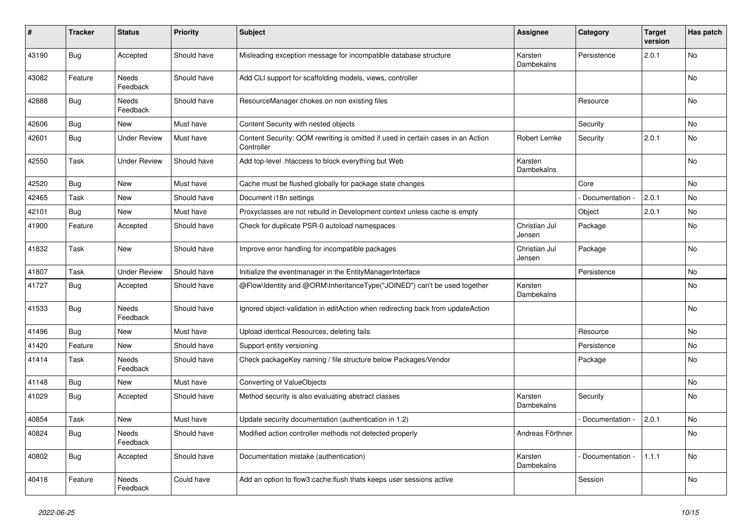| #     | <b>Tracker</b> | <b>Status</b>       | <b>Priority</b> | <b>Subject</b>                                                                                 | <b>Assignee</b>         | Category        | <b>Target</b><br>version | Has patch |
|-------|----------------|---------------------|-----------------|------------------------------------------------------------------------------------------------|-------------------------|-----------------|--------------------------|-----------|
| 43190 | Bug            | Accepted            | Should have     | Misleading exception message for incompatible database structure                               | Karsten<br>Dambekalns   | Persistence     | 2.0.1                    | No        |
| 43082 | Feature        | Needs<br>Feedback   | Should have     | Add CLI support for scaffolding models, views, controller                                      |                         |                 |                          | No        |
| 42888 | Bug            | Needs<br>Feedback   | Should have     | ResourceManager chokes on non existing files                                                   |                         | Resource        |                          | No        |
| 42606 | <b>Bug</b>     | New                 | Must have       | Content Security with nested objects                                                           |                         | Security        |                          | No        |
| 42601 | Bug            | <b>Under Review</b> | Must have       | Content Security: QOM rewriting is omitted if used in certain cases in an Action<br>Controller | Robert Lemke            | Security        | 2.0.1                    | No        |
| 42550 | Task           | <b>Under Review</b> | Should have     | Add top-level .htaccess to block everything but Web                                            | Karsten<br>Dambekalns   |                 |                          | No        |
| 42520 | <b>Bug</b>     | New                 | Must have       | Cache must be flushed globally for package state changes                                       |                         | Core            |                          | No        |
| 42465 | Task           | New                 | Should have     | Document i18n settings                                                                         |                         | Documentation - | 2.0.1                    | No        |
| 42101 | Bug            | New                 | Must have       | Proxyclasses are not rebuild in Development context unless cache is empty                      |                         | Object          | 2.0.1                    | No        |
| 41900 | Feature        | Accepted            | Should have     | Check for duplicate PSR-0 autoload namespaces                                                  | Christian Jul<br>Jensen | Package         |                          | No        |
| 41832 | Task           | New                 | Should have     | Improve error handling for incompatible packages                                               | Christian Jul<br>Jensen | Package         |                          | No        |
| 41807 | Task           | <b>Under Review</b> | Should have     | Initialize the eventmanager in the EntityManagerInterface                                      |                         | Persistence     |                          | No        |
| 41727 | <b>Bug</b>     | Accepted            | Should have     | @Flow\Identity and @ORM\InheritanceType("JOINED") can't be used together                       | Karsten<br>Dambekalns   |                 |                          | No        |
| 41533 | Bug            | Needs<br>Feedback   | Should have     | Ignored object-validation in editAction when redirecting back from updateAction                |                         |                 |                          | No        |
| 41496 | Bug            | <b>New</b>          | Must have       | Upload identical Resources, deleting fails                                                     |                         | Resource        |                          | No        |
| 41420 | Feature        | New                 | Should have     | Support entity versioning                                                                      |                         | Persistence     |                          | No        |
| 41414 | Task           | Needs<br>Feedback   | Should have     | Check packageKey naming / file structure below Packages/Vendor                                 |                         | Package         |                          | No        |
| 41148 | <b>Bug</b>     | New                 | Must have       | Converting of ValueObjects                                                                     |                         |                 |                          | No        |
| 41029 | <b>Bug</b>     | Accepted            | Should have     | Method security is also evaluating abstract classes                                            | Karsten<br>Dambekalns   | Security        |                          | No        |
| 40854 | Task           | New                 | Must have       | Update security documentation (authentication in 1.2)                                          |                         | Documentation - | 2.0.1                    | No        |
| 40824 | <b>Bug</b>     | Needs<br>Feedback   | Should have     | Modified action controller methods not detected properly                                       | Andreas Förthner        |                 |                          | No        |
| 40802 | <b>Bug</b>     | Accepted            | Should have     | Documentation mistake (authentication)                                                         | Karsten<br>Dambekalns   | Documentation - | 1.1.1                    | No        |
| 40418 | Feature        | Needs<br>Feedback   | Could have      | Add an option to flow3:cache:flush thats keeps user sessions active                            |                         | Session         |                          | No        |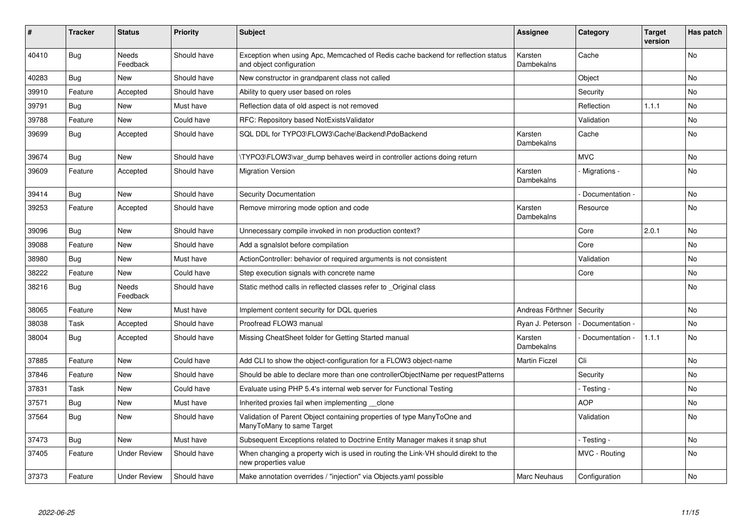| #     | <b>Tracker</b> | <b>Status</b>            | <b>Priority</b> | <b>Subject</b>                                                                                               | <b>Assignee</b>              | Category        | <b>Target</b><br>version | Has patch |
|-------|----------------|--------------------------|-----------------|--------------------------------------------------------------------------------------------------------------|------------------------------|-----------------|--------------------------|-----------|
| 40410 | Bug            | <b>Needs</b><br>Feedback | Should have     | Exception when using Apc, Memcached of Redis cache backend for reflection status<br>and object configuration | Karsten<br>Dambekalns        | Cache           |                          | <b>No</b> |
| 40283 | <b>Bug</b>     | <b>New</b>               | Should have     | New constructor in grandparent class not called                                                              |                              | Object          |                          | <b>No</b> |
| 39910 | Feature        | Accepted                 | Should have     | Ability to query user based on roles                                                                         |                              | Security        |                          | <b>No</b> |
| 39791 | Bug            | <b>New</b>               | Must have       | Reflection data of old aspect is not removed                                                                 |                              | Reflection      | 1.1.1                    | No        |
| 39788 | Feature        | <b>New</b>               | Could have      | RFC: Repository based NotExistsValidator                                                                     |                              | Validation      |                          | <b>No</b> |
| 39699 | Bug            | Accepted                 | Should have     | SQL DDL for TYPO3\FLOW3\Cache\Backend\PdoBackend                                                             | Karsten<br>Dambekalns        | Cache           |                          | <b>No</b> |
| 39674 | Bug            | New                      | Should have     | \TYPO3\FLOW3\var_dump behaves weird in controller actions doing return                                       |                              | <b>MVC</b>      |                          | <b>No</b> |
| 39609 | Feature        | Accepted                 | Should have     | <b>Migration Version</b>                                                                                     | Karsten<br>Dambekalns        | - Migrations -  |                          | <b>No</b> |
| 39414 | <b>Bug</b>     | New                      | Should have     | <b>Security Documentation</b>                                                                                |                              | Documentation - |                          | <b>No</b> |
| 39253 | Feature        | Accepted                 | Should have     | Remove mirroring mode option and code                                                                        | Karsten<br>Dambekalns        | Resource        |                          | <b>No</b> |
| 39096 | Bug            | <b>New</b>               | Should have     | Unnecessary compile invoked in non production context?                                                       |                              | Core            | 2.0.1                    | <b>No</b> |
| 39088 | Feature        | <b>New</b>               | Should have     | Add a sgnalslot before compilation                                                                           |                              | Core            |                          | <b>No</b> |
| 38980 | Bug            | <b>New</b>               | Must have       | ActionController: behavior of required arguments is not consistent                                           |                              | Validation      |                          | No        |
| 38222 | Feature        | <b>New</b>               | Could have      | Step execution signals with concrete name                                                                    |                              | Core            |                          | <b>No</b> |
| 38216 | <b>Bug</b>     | Needs<br>Feedback        | Should have     | Static method calls in reflected classes refer to Original class                                             |                              |                 |                          | No        |
| 38065 | Feature        | <b>New</b>               | Must have       | Implement content security for DQL queries                                                                   | Andreas Förthner             | Security        |                          | <b>No</b> |
| 38038 | Task           | Accepted                 | Should have     | Proofread FLOW3 manual                                                                                       | Ryan J. Peterson             | Documentation - |                          | No        |
| 38004 | <b>Bug</b>     | Accepted                 | Should have     | Missing CheatSheet folder for Getting Started manual                                                         | Karsten<br><b>Dambekalns</b> | Documentation - | 1.1.1                    | <b>No</b> |
| 37885 | Feature        | <b>New</b>               | Could have      | Add CLI to show the object-configuration for a FLOW3 object-name                                             | <b>Martin Ficzel</b>         | Cli             |                          | No        |
| 37846 | Feature        | <b>New</b>               | Should have     | Should be able to declare more than one controllerObjectName per requestPatterns                             |                              | Security        |                          | <b>No</b> |
| 37831 | Task           | <b>New</b>               | Could have      | Evaluate using PHP 5.4's internal web server for Functional Testing                                          |                              | - Testing -     |                          | <b>No</b> |
| 37571 | <b>Bug</b>     | <b>New</b>               | Must have       | Inherited proxies fail when implementing __clone                                                             |                              | <b>AOP</b>      |                          | No        |
| 37564 | Bug            | <b>New</b>               | Should have     | Validation of Parent Object containing properties of type ManyToOne and<br>ManyToMany to same Target         |                              | Validation      |                          | <b>No</b> |
| 37473 | Bug            | <b>New</b>               | Must have       | Subsequent Exceptions related to Doctrine Entity Manager makes it snap shut                                  |                              | - Testing -     |                          | No        |
| 37405 | Feature        | <b>Under Review</b>      | Should have     | When changing a property wich is used in routing the Link-VH should direkt to the<br>new properties value    |                              | MVC - Routing   |                          | <b>No</b> |
| 37373 | Feature        | <b>Under Review</b>      | Should have     | Make annotation overrides / "injection" via Objects.yaml possible                                            | Marc Neuhaus                 | Configuration   |                          | No        |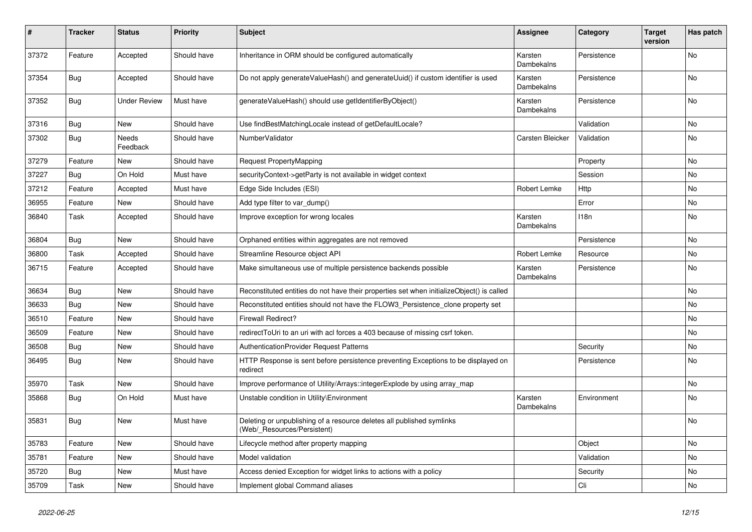| #     | <b>Tracker</b> | <b>Status</b>       | <b>Priority</b> | <b>Subject</b>                                                                                       | <b>Assignee</b>       | Category    | <b>Target</b><br>version | Has patch      |
|-------|----------------|---------------------|-----------------|------------------------------------------------------------------------------------------------------|-----------------------|-------------|--------------------------|----------------|
| 37372 | Feature        | Accepted            | Should have     | Inheritance in ORM should be configured automatically                                                | Karsten<br>Dambekalns | Persistence |                          | <b>No</b>      |
| 37354 | <b>Bug</b>     | Accepted            | Should have     | Do not apply generateValueHash() and generateUuid() if custom identifier is used                     | Karsten<br>Dambekalns | Persistence |                          | No             |
| 37352 | <b>Bug</b>     | <b>Under Review</b> | Must have       | generateValueHash() should use getIdentifierByObject()                                               | Karsten<br>Dambekalns | Persistence |                          | No.            |
| 37316 | Bug            | <b>New</b>          | Should have     | Use findBestMatchingLocale instead of getDefaultLocale?                                              |                       | Validation  |                          | N <sub>o</sub> |
| 37302 | Bug            | Needs<br>Feedback   | Should have     | NumberValidator                                                                                      | Carsten Bleicker      | Validation  |                          | <b>No</b>      |
| 37279 | Feature        | <b>New</b>          | Should have     | <b>Request PropertyMapping</b>                                                                       |                       | Property    |                          | No             |
| 37227 | Bug            | On Hold             | Must have       | securityContext->getParty is not available in widget context                                         |                       | Session     |                          | No             |
| 37212 | Feature        | Accepted            | Must have       | Edge Side Includes (ESI)                                                                             | <b>Robert Lemke</b>   | Http        |                          | No.            |
| 36955 | Feature        | <b>New</b>          | Should have     | Add type filter to var_dump()                                                                        |                       | Error       |                          | N <sub>o</sub> |
| 36840 | Task           | Accepted            | Should have     | Improve exception for wrong locales                                                                  | Karsten<br>Dambekalns | 118n        |                          | No             |
| 36804 | Bug            | <b>New</b>          | Should have     | Orphaned entities within aggregates are not removed                                                  |                       | Persistence |                          | No             |
| 36800 | Task           | Accepted            | Should have     | Streamline Resource object API                                                                       | Robert Lemke          | Resource    |                          | No             |
| 36715 | Feature        | Accepted            | Should have     | Make simultaneous use of multiple persistence backends possible                                      | Karsten<br>Dambekalns | Persistence |                          | No             |
| 36634 | <b>Bug</b>     | <b>New</b>          | Should have     | Reconstituted entities do not have their properties set when initializeObject() is called            |                       |             |                          | No             |
| 36633 | <b>Bug</b>     | <b>New</b>          | Should have     | Reconstituted entities should not have the FLOW3_Persistence_clone property set                      |                       |             |                          | <b>No</b>      |
| 36510 | Feature        | <b>New</b>          | Should have     | <b>Firewall Redirect?</b>                                                                            |                       |             |                          | <b>No</b>      |
| 36509 | Feature        | <b>New</b>          | Should have     | redirectToUri to an uri with acl forces a 403 because of missing csrf token.                         |                       |             |                          | No.            |
| 36508 | Bug            | <b>New</b>          | Should have     | <b>AuthenticationProvider Request Patterns</b>                                                       |                       | Security    |                          | <b>No</b>      |
| 36495 | Bug            | <b>New</b>          | Should have     | HTTP Response is sent before persistence preventing Exceptions to be displayed on<br>redirect        |                       | Persistence |                          | <b>No</b>      |
| 35970 | Task           | New                 | Should have     | Improve performance of Utility/Arrays::integerExplode by using array map                             |                       |             |                          | No             |
| 35868 | <b>Bug</b>     | On Hold             | Must have       | Unstable condition in Utility\Environment                                                            | Karsten<br>Dambekalns | Environment |                          | No             |
| 35831 | <b>Bug</b>     | <b>New</b>          | Must have       | Deleting or unpublishing of a resource deletes all published symlinks<br>(Web/ Resources/Persistent) |                       |             |                          | N <sub>o</sub> |
| 35783 | Feature        | <b>New</b>          | Should have     | Lifecycle method after property mapping                                                              |                       | Object      |                          | No             |
| 35781 | Feature        | <b>New</b>          | Should have     | Model validation                                                                                     |                       | Validation  |                          | <b>No</b>      |
| 35720 | Bug            | <b>New</b>          | Must have       | Access denied Exception for widget links to actions with a policy                                    |                       | Security    |                          | No             |
| 35709 | Task           | <b>New</b>          | Should have     | Implement global Command aliases                                                                     |                       | Cli         |                          | No             |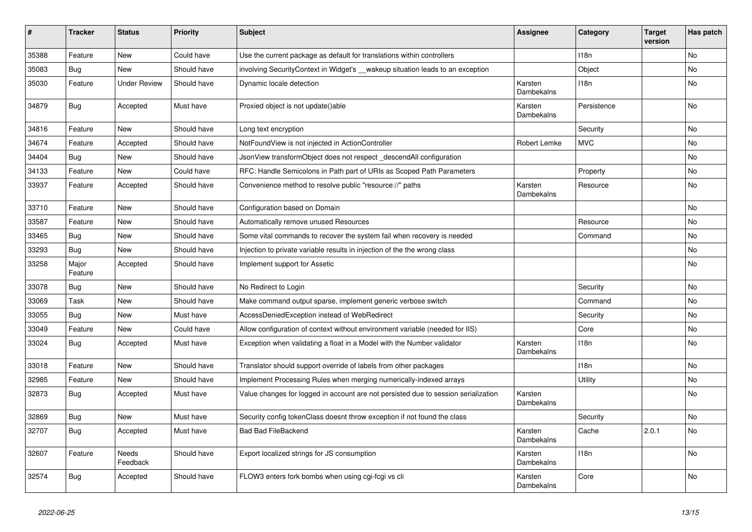| #     | <b>Tracker</b>   | <b>Status</b>            | <b>Priority</b> | <b>Subject</b>                                                                     | Assignee              | Category         | <b>Target</b><br>version | Has patch |
|-------|------------------|--------------------------|-----------------|------------------------------------------------------------------------------------|-----------------------|------------------|--------------------------|-----------|
| 35388 | Feature          | New                      | Could have      | Use the current package as default for translations within controllers             |                       | 118 <sub>n</sub> |                          | <b>No</b> |
| 35083 | <b>Bug</b>       | <b>New</b>               | Should have     | involving SecurityContext in Widget's __wakeup situation leads to an exception     |                       | Object           |                          | No        |
| 35030 | Feature          | <b>Under Review</b>      | Should have     | Dynamic locale detection                                                           | Karsten<br>Dambekalns | 118n             |                          | No        |
| 34879 | Bug              | Accepted                 | Must have       | Proxied object is not update()able                                                 | Karsten<br>Dambekalns | Persistence      |                          | <b>No</b> |
| 34816 | Feature          | <b>New</b>               | Should have     | Long text encryption                                                               |                       | Security         |                          | No        |
| 34674 | Feature          | Accepted                 | Should have     | NotFoundView is not injected in ActionController                                   | Robert Lemke          | <b>MVC</b>       |                          | No        |
| 34404 | <b>Bug</b>       | <b>New</b>               | Should have     | JsonView transformObject does not respect descendAll configuration                 |                       |                  |                          | No        |
| 34133 | Feature          | <b>New</b>               | Could have      | RFC: Handle Semicolons in Path part of URIs as Scoped Path Parameters              |                       | Property         |                          | No        |
| 33937 | Feature          | Accepted                 | Should have     | Convenience method to resolve public "resource://" paths                           | Karsten<br>Dambekalns | Resource         |                          | No        |
| 33710 | Feature          | <b>New</b>               | Should have     | Configuration based on Domain                                                      |                       |                  |                          | No        |
| 33587 | Feature          | <b>New</b>               | Should have     | Automatically remove unused Resources                                              |                       | Resource         |                          | No        |
| 33465 | <b>Bug</b>       | <b>New</b>               | Should have     | Some vital commands to recover the system fail when recovery is needed             |                       | Command          |                          | <b>No</b> |
| 33293 | <b>Bug</b>       | New                      | Should have     | Injection to private variable results in injection of the the wrong class          |                       |                  |                          | No        |
| 33258 | Major<br>Feature | Accepted                 | Should have     | Implement support for Assetic                                                      |                       |                  |                          | No        |
| 33078 | <b>Bug</b>       | <b>New</b>               | Should have     | No Redirect to Login                                                               |                       | Security         |                          | <b>No</b> |
| 33069 | Task             | <b>New</b>               | Should have     | Make command output sparse, implement generic verbose switch                       |                       | Command          |                          | <b>No</b> |
| 33055 | <b>Bug</b>       | <b>New</b>               | Must have       | AccessDeniedException instead of WebRedirect                                       |                       | Security         |                          | <b>No</b> |
| 33049 | Feature          | <b>New</b>               | Could have      | Allow configuration of context without environment variable (needed for IIS)       |                       | Core             |                          | <b>No</b> |
| 33024 | <b>Bug</b>       | Accepted                 | Must have       | Exception when validating a float in a Model with the Number validator             | Karsten<br>Dambekalns | 118n             |                          | No        |
| 33018 | Feature          | <b>New</b>               | Should have     | Translator should support override of labels from other packages                   |                       | 118 <sub>n</sub> |                          | No        |
| 32985 | Feature          | <b>New</b>               | Should have     | Implement Processing Rules when merging numerically-indexed arrays                 |                       | Utility          |                          | <b>No</b> |
| 32873 | <b>Bug</b>       | Accepted                 | Must have       | Value changes for logged in account are not persisted due to session serialization | Karsten<br>Dambekalns |                  |                          | <b>No</b> |
| 32869 | Bug              | <b>New</b>               | Must have       | Security config tokenClass doesnt throw exception if not found the class           |                       | Security         |                          | <b>No</b> |
| 32707 | Bug              | Accepted                 | Must have       | <b>Bad Bad FileBackend</b>                                                         | Karsten<br>Dambekalns | Cache            | 2.0.1                    | No        |
| 32607 | Feature          | <b>Needs</b><br>Feedback | Should have     | Export localized strings for JS consumption                                        | Karsten<br>Dambekalns | 118 <sub>n</sub> |                          | <b>No</b> |
| 32574 | <b>Bug</b>       | Accepted                 | Should have     | FLOW3 enters fork bombs when using cgi-fcgi vs cli                                 | Karsten<br>Dambekalns | Core             |                          | <b>No</b> |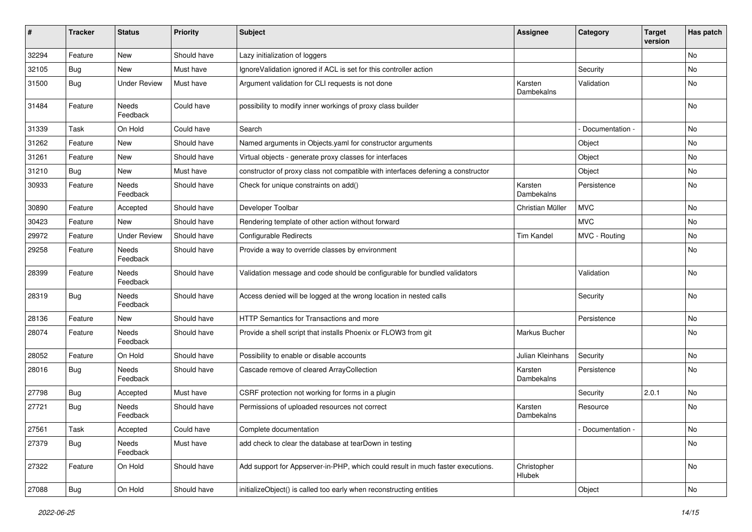| #     | <b>Tracker</b> | <b>Status</b>            | <b>Priority</b> | <b>Subject</b>                                                                   | <b>Assignee</b>       | Category          | <b>Target</b><br>version | Has patch |
|-------|----------------|--------------------------|-----------------|----------------------------------------------------------------------------------|-----------------------|-------------------|--------------------------|-----------|
| 32294 | Feature        | <b>New</b>               | Should have     | Lazy initialization of loggers                                                   |                       |                   |                          | No        |
| 32105 | <b>Bug</b>     | New                      | Must have       | IgnoreValidation ignored if ACL is set for this controller action                |                       | Security          |                          | No        |
| 31500 | <b>Bug</b>     | <b>Under Review</b>      | Must have       | Argument validation for CLI requests is not done                                 | Karsten<br>Dambekalns | Validation        |                          | No        |
| 31484 | Feature        | Needs<br>Feedback        | Could have      | possibility to modify inner workings of proxy class builder                      |                       |                   |                          | No        |
| 31339 | Task           | On Hold                  | Could have      | Search                                                                           |                       | Documentation -   |                          | No        |
| 31262 | Feature        | New                      | Should have     | Named arguments in Objects.yaml for constructor arguments                        |                       | Object            |                          | No        |
| 31261 | Feature        | New                      | Should have     | Virtual objects - generate proxy classes for interfaces                          |                       | Object            |                          | No        |
| 31210 | <b>Bug</b>     | New                      | Must have       | constructor of proxy class not compatible with interfaces defening a constructor |                       | Object            |                          | No        |
| 30933 | Feature        | Needs<br>Feedback        | Should have     | Check for unique constraints on add()                                            | Karsten<br>Dambekalns | Persistence       |                          | No        |
| 30890 | Feature        | Accepted                 | Should have     | Developer Toolbar                                                                | Christian Müller      | <b>MVC</b>        |                          | No        |
| 30423 | Feature        | New                      | Should have     | Rendering template of other action without forward                               |                       | <b>MVC</b>        |                          | <b>No</b> |
| 29972 | Feature        | <b>Under Review</b>      | Should have     | <b>Configurable Redirects</b>                                                    | <b>Tim Kandel</b>     | MVC - Routing     |                          | No        |
| 29258 | Feature        | <b>Needs</b><br>Feedback | Should have     | Provide a way to override classes by environment                                 |                       |                   |                          | No        |
| 28399 | Feature        | Needs<br>Feedback        | Should have     | Validation message and code should be configurable for bundled validators        |                       | Validation        |                          | <b>No</b> |
| 28319 | Bug            | Needs<br>Feedback        | Should have     | Access denied will be logged at the wrong location in nested calls               |                       | Security          |                          | No        |
| 28136 | Feature        | New                      | Should have     | HTTP Semantics for Transactions and more                                         |                       | Persistence       |                          | No        |
| 28074 | Feature        | Needs<br>Feedback        | Should have     | Provide a shell script that installs Phoenix or FLOW3 from git                   | Markus Bucher         |                   |                          | No        |
| 28052 | Feature        | On Hold                  | Should have     | Possibility to enable or disable accounts                                        | Julian Kleinhans      | Security          |                          | No        |
| 28016 | <b>Bug</b>     | Needs<br>Feedback        | Should have     | Cascade remove of cleared ArrayCollection                                        | Karsten<br>Dambekalns | Persistence       |                          | No        |
| 27798 | Bug            | Accepted                 | Must have       | CSRF protection not working for forms in a plugin                                |                       | Security          | 2.0.1                    | No        |
| 27721 | <b>Bug</b>     | Needs<br>Feedback        | Should have     | Permissions of uploaded resources not correct                                    | Karsten<br>Dambekalns | Resource          |                          | No        |
| 27561 | Task           | Accepted                 | Could have      | Complete documentation                                                           |                       | - Documentation - |                          | No        |
| 27379 | Bug            | Needs<br>Feedback        | Must have       | add check to clear the database at tearDown in testing                           |                       |                   |                          | No        |
| 27322 | Feature        | On Hold                  | Should have     | Add support for Appserver-in-PHP, which could result in much faster executions.  | Christopher<br>Hlubek |                   |                          | No        |
| 27088 | <b>Bug</b>     | On Hold                  | Should have     | initializeObject() is called too early when reconstructing entities              |                       | Object            |                          | No        |